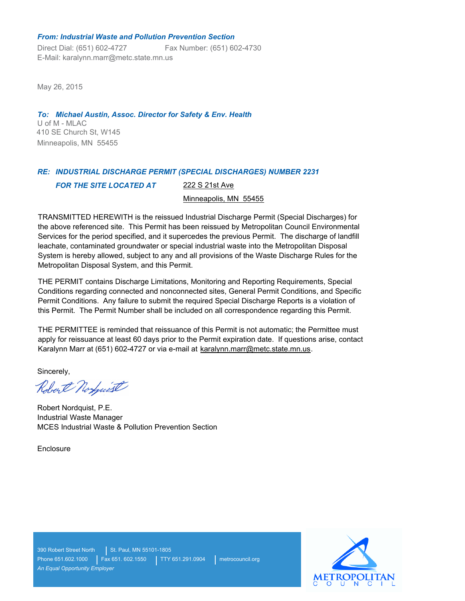#### *From: Industrial Waste and Pollution Prevention Section*

Direct Dial: (651) 602-4727 Fax Number: (651) 602-4730 E-Mail: karalynn.marr@metc.state.mn.us

May 26, 2015

U of M - MLAC *To: Michael Austin, Assoc. Director for Safety & Env. Health* 410 SE Church St, W145 Minneapolis, MN 55455

# *RE: INDUSTRIAL DISCHARGE PERMIT (SPECIAL DISCHARGES) NUMBER 2231 FOR THE SITE LOCATED AT* 222 S 21st Ave

Minneapolis, MN 55455

TRANSMITTED HEREWITH is the reissued Industrial Discharge Permit (Special Discharges) for the above referenced site. This Permit has been reissued by Metropolitan Council Environmental Services for the period specified, and it supercedes the previous Permit. The discharge of landfill leachate, contaminated groundwater or special industrial waste into the Metropolitan Disposal System is hereby allowed, subject to any and all provisions of the Waste Discharge Rules for the Metropolitan Disposal System, and this Permit.

THE PERMIT contains Discharge Limitations, Monitoring and Reporting Requirements, Special Conditions regarding connected and nonconnected sites, General Permit Conditions, and Specific Permit Conditions. Any failure to submit the required Special Discharge Reports is a violation of this Permit. The Permit Number shall be included on all correspondence regarding this Permit.

THE PERMITTEE is reminded that reissuance of this Permit is not automatic; the Permittee must apply for reissuance at least 60 days prior to the Permit expiration date. If questions arise, contact Karalynn Marr at (651) 602-4727 or via e-mail at karalynn.marr@metc.state.mn.us.

Sincerely,

Robert Norfwist

Robert Nordquist, P.E. Industrial Waste Manager MCES Industrial Waste & Pollution Prevention Section

**Enclosure** 



390 Robert Street North | St. Paul, MN 55101-1805 *An Equal Opportunity Employer*

Phone 651.602.1000 | Fax 651. 602.1550 | TTY 651.291.0904 | metrocouncil.org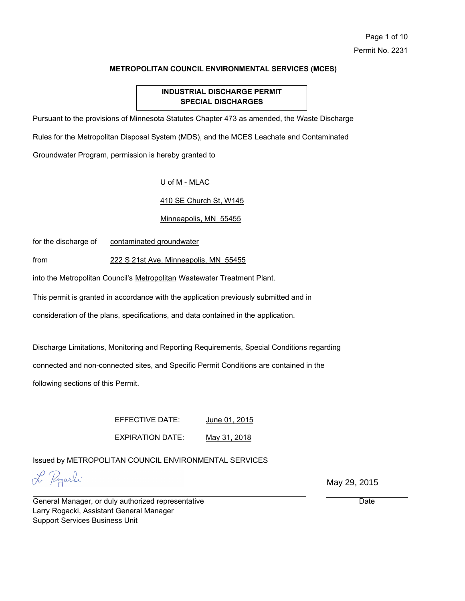## **INDUSTRIAL DISCHARGE PERMIT SPECIAL DISCHARGES**

Pursuant to the provisions of Minnesota Statutes Chapter 473 as amended, the Waste Discharge

Rules for the Metropolitan Disposal System (MDS), and the MCES Leachate and Contaminated

Groundwater Program, permission is hereby granted to

#### U of M - MLAC

#### 410 SE Church St, W145

#### Minneapolis, MN 55455

for the discharge of contaminated groundwater

from 222 S 21st Ave, Minneapolis, MN 55455

into the Metropolitan Council's Metropolitan Wastewater Treatment Plant.

This permit is granted in accordance with the application previously submitted and in

consideration of the plans, specifications, and data contained in the application.

Discharge Limitations, Monitoring and Reporting Requirements, Special Conditions regarding

connected and non-connected sites, and Specific Permit Conditions are contained in the

following sections of this Permit.

EFFECTIVE DATE: June 01, 2015

EXPIRATION DATE: May 31, 2018

Issued by METROPOLITAN COUNCIL ENVIRONMENTAL SERVICES

L Pogarhi

May 29, 2015

General Manager, or duly authorized representative Larry Rogacki, Assistant General Manager Support Services Business Unit

**Date**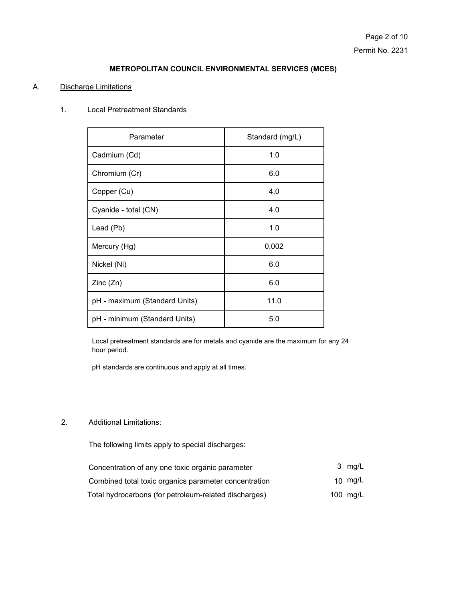#### A. Discharge Limitations

### 1. Local Pretreatment Standards

| Parameter                     | Standard (mg/L) |  |
|-------------------------------|-----------------|--|
| Cadmium (Cd)                  | 1.0             |  |
| Chromium (Cr)                 | 6.0             |  |
| Copper (Cu)                   | 4.0             |  |
| Cyanide - total (CN)          | 4.0             |  |
| Lead (Pb)                     | 1.0             |  |
| Mercury (Hg)                  | 0.002           |  |
| Nickel (Ni)                   | 6.0             |  |
| Zinc(Zn)                      | 6.0             |  |
| pH - maximum (Standard Units) | 11.0            |  |
| pH - minimum (Standard Units) | 5.0             |  |

Local pretreatment standards are for metals and cyanide are the maximum for any 24 hour period.

pH standards are continuous and apply at all times.

#### Additional Limitations: 2.

The following limits apply to special discharges:

| Concentration of any one toxic organic parameter      | 3 mg/L     |
|-------------------------------------------------------|------------|
| Combined total toxic organics parameter concentration | 10 $mq/L$  |
| Total hydrocarbons (for petroleum-related discharges) | 100 $mg/L$ |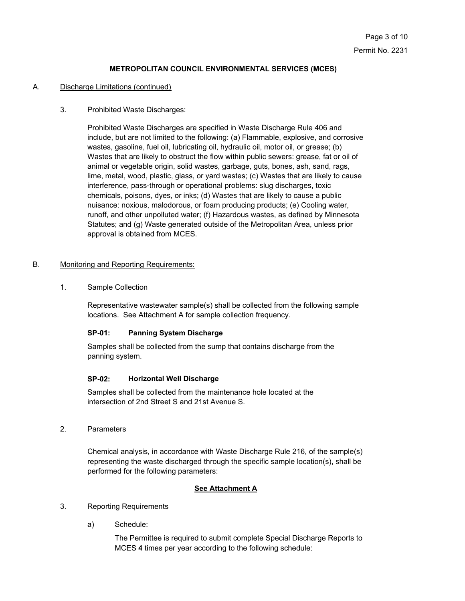#### A. Discharge Limitations (continued)

#### 3. Prohibited Waste Discharges:

Prohibited Waste Discharges are specified in Waste Discharge Rule 406 and include, but are not limited to the following: (a) Flammable, explosive, and corrosive wastes, gasoline, fuel oil, lubricating oil, hydraulic oil, motor oil, or grease; (b) Wastes that are likely to obstruct the flow within public sewers: grease, fat or oil of animal or vegetable origin, solid wastes, garbage, guts, bones, ash, sand, rags, lime, metal, wood, plastic, glass, or yard wastes; (c) Wastes that are likely to cause interference, pass-through or operational problems: slug discharges, toxic chemicals, poisons, dyes, or inks; (d) Wastes that are likely to cause a public nuisance: noxious, malodorous, or foam producing products; (e) Cooling water, runoff, and other unpolluted water; (f) Hazardous wastes, as defined by Minnesota Statutes; and (g) Waste generated outside of the Metropolitan Area, unless prior approval is obtained from MCES.

#### B. Monitoring and Reporting Requirements:

1. Sample Collection

Representative wastewater sample(s) shall be collected from the following sample locations. See Attachment A for sample collection frequency.

#### **SP-01: Panning System Discharge**

Samples shall be collected from the sump that contains discharge from the panning system.

#### **SP-02: Horizontal Well Discharge**

Samples shall be collected from the maintenance hole located at the intersection of 2nd Street S and 21st Avenue S.

2. Parameters

Chemical analysis, in accordance with Waste Discharge Rule 216, of the sample(s) representing the waste discharged through the specific sample location(s), shall be performed for the following parameters:

#### **See Attachment A**

- 3. Reporting Requirements
	- a) Schedule:

The Permittee is required to submit complete Special Discharge Reports to MCES **4** times per year according to the following schedule: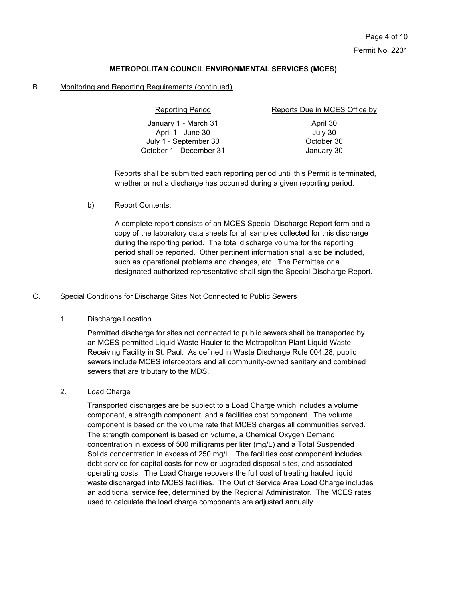#### B. Monitoring and Reporting Requirements (continued)

| <b>Reporting Period</b> | Reports Due in MCES Office by |
|-------------------------|-------------------------------|
| January 1 - March 31    | April 30                      |
| April 1 - June 30       | July 30                       |
| July 1 - September 30   | October 30                    |
| October 1 - December 31 | January 30                    |
|                         |                               |

Reports shall be submitted each reporting period until this Permit is terminated, whether or not a discharge has occurred during a given reporting period.

#### b) Report Contents:

A complete report consists of an MCES Special Discharge Report form and a copy of the laboratory data sheets for all samples collected for this discharge during the reporting period. The total discharge volume for the reporting period shall be reported. Other pertinent information shall also be included, such as operational problems and changes, etc. The Permittee or a designated authorized representative shall sign the Special Discharge Report.

#### C. Special Conditions for Discharge Sites Not Connected to Public Sewers

#### 1. Discharge Location

Permitted discharge for sites not connected to public sewers shall be transported by an MCES-permitted Liquid Waste Hauler to the Metropolitan Plant Liquid Waste Receiving Facility in St. Paul. As defined in Waste Discharge Rule 004.28, public sewers include MCES interceptors and all community-owned sanitary and combined sewers that are tributary to the MDS.

#### 2. Load Charge

Transported discharges are be subject to a Load Charge which includes a volume component, a strength component, and a facilities cost component. The volume component is based on the volume rate that MCES charges all communities served. The strength component is based on volume, a Chemical Oxygen Demand concentration in excess of 500 milligrams per liter (mg/L) and a Total Suspended Solids concentration in excess of 250 mg/L. The facilities cost component includes debt service for capital costs for new or upgraded disposal sites, and associated operating costs. The Load Charge recovers the full cost of treating hauled liquid waste discharged into MCES facilities. The Out of Service Area Load Charge includes an additional service fee, determined by the Regional Administrator. The MCES rates used to calculate the load charge components are adjusted annually.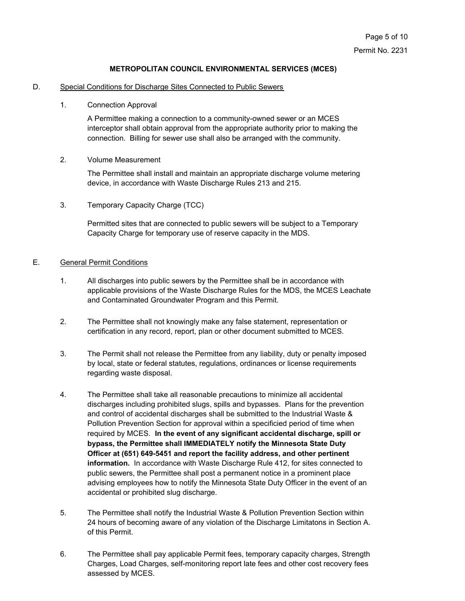#### D. Special Conditions for Discharge Sites Connected to Public Sewers

#### 1. Connection Approval

A Permittee making a connection to a community-owned sewer or an MCES interceptor shall obtain approval from the appropriate authority prior to making the connection. Billing for sewer use shall also be arranged with the community.

#### 2. Volume Measurement

The Permittee shall install and maintain an appropriate discharge volume metering device, in accordance with Waste Discharge Rules 213 and 215.

3. Temporary Capacity Charge (TCC)

Permitted sites that are connected to public sewers will be subject to a Temporary Capacity Charge for temporary use of reserve capacity in the MDS.

#### E. General Permit Conditions

- 1. All discharges into public sewers by the Permittee shall be in accordance with applicable provisions of the Waste Discharge Rules for the MDS, the MCES Leachate and Contaminated Groundwater Program and this Permit.
- 2. The Permittee shall not knowingly make any false statement, representation or certification in any record, report, plan or other document submitted to MCES.
- 3. The Permit shall not release the Permittee from any liability, duty or penalty imposed by local, state or federal statutes, regulations, ordinances or license requirements regarding waste disposal.
- The Permittee shall take all reasonable precautions to minimize all accidental discharges including prohibited slugs, spills and bypasses. Plans for the prevention and control of accidental discharges shall be submitted to the Industrial Waste & Pollution Prevention Section for approval within a specificied period of time when required by MCES. **In the event of any significant accidental discharge, spill or bypass, the Permittee shall IMMEDIATELY notify the Minnesota State Duty Officer at (651) 649-5451 and report the facility address, and other pertinent information.** In accordance with Waste Discharge Rule 412, for sites connected to public sewers, the Permittee shall post a permanent notice in a prominent place advising employees how to notify the Minnesota State Duty Officer in the event of an accidental or prohibited slug discharge. 4.
- 5. The Permittee shall notify the Industrial Waste & Pollution Prevention Section within 24 hours of becoming aware of any violation of the Discharge Limitatons in Section A. of this Permit.
- 6. The Permittee shall pay applicable Permit fees, temporary capacity charges, Strength Charges, Load Charges, self-monitoring report late fees and other cost recovery fees assessed by MCES.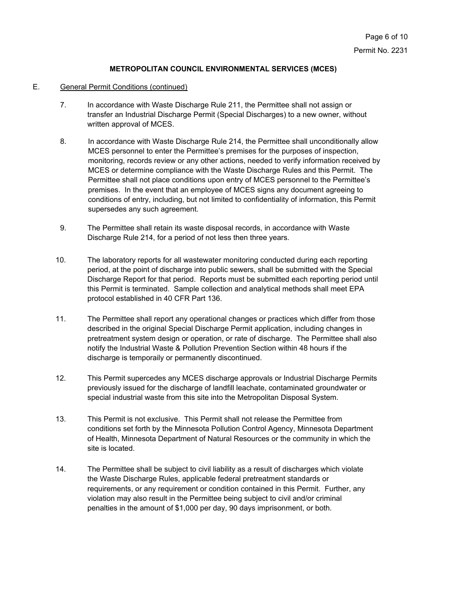#### E. General Permit Conditions (continued)

- 7. In accordance with Waste Discharge Rule 211, the Permittee shall not assign or transfer an Industrial Discharge Permit (Special Discharges) to a new owner, without written approval of MCES.
- 8. In accordance with Waste Discharge Rule 214, the Permittee shall unconditionally allow MCES personnel to enter the Permittee's premises for the purposes of inspection, monitoring, records review or any other actions, needed to verify information received by MCES or determine compliance with the Waste Discharge Rules and this Permit. The Permittee shall not place conditions upon entry of MCES personnel to the Permittee's premises. In the event that an employee of MCES signs any document agreeing to conditions of entry, including, but not limited to confidentiality of information, this Permit supersedes any such agreement.
- 9. The Permittee shall retain its waste disposal records, in accordance with Waste Discharge Rule 214, for a period of not less then three years.
- 10. The laboratory reports for all wastewater monitoring conducted during each reporting period, at the point of discharge into public sewers, shall be submitted with the Special Discharge Report for that period. Reports must be submitted each reporting period until this Permit is terminated. Sample collection and analytical methods shall meet EPA protocol established in 40 CFR Part 136.
- 11. The Permittee shall report any operational changes or practices which differ from those described in the original Special Discharge Permit application, including changes in pretreatment system design or operation, or rate of discharge. The Permittee shall also notify the Industrial Waste & Pollution Prevention Section within 48 hours if the discharge is temporaily or permanently discontinued.
- 12. This Permit supercedes any MCES discharge approvals or Industrial Discharge Permits previously issued for the discharge of landfill leachate, contaminated groundwater or special industrial waste from this site into the Metropolitan Disposal System.
- 13. This Permit is not exclusive. This Permit shall not release the Permittee from conditions set forth by the Minnesota Pollution Control Agency, Minnesota Department of Health, Minnesota Department of Natural Resources or the community in which the site is located.
- 14. The Permittee shall be subject to civil liability as a result of discharges which violate the Waste Discharge Rules, applicable federal pretreatment standards or requirements, or any requirement or condition contained in this Permit. Further, any violation may also result in the Permittee being subject to civil and/or criminal penalties in the amount of \$1,000 per day, 90 days imprisonment, or both.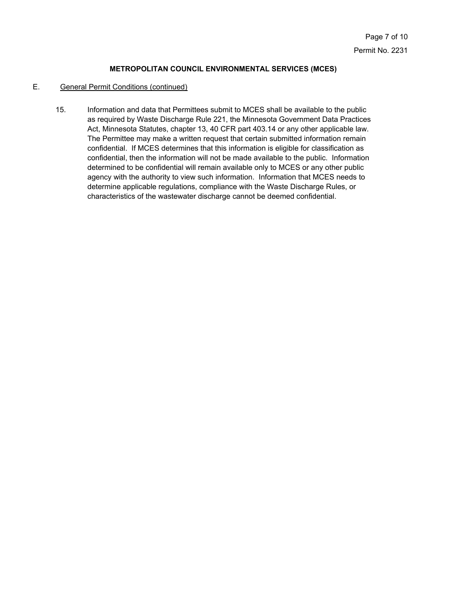#### E. General Permit Conditions (continued)

Information and data that Permittees submit to MCES shall be available to the public as required by Waste Discharge Rule 221, the Minnesota Government Data Practices Act, Minnesota Statutes, chapter 13, 40 CFR part 403.14 or any other applicable law. The Permittee may make a written request that certain submitted information remain confidential. If MCES determines that this information is eligible for classification as confidential, then the information will not be made available to the public. Information determined to be confidential will remain available only to MCES or any other public agency with the authority to view such information. Information that MCES needs to determine applicable regulations, compliance with the Waste Discharge Rules, or characteristics of the wastewater discharge cannot be deemed confidential. 15.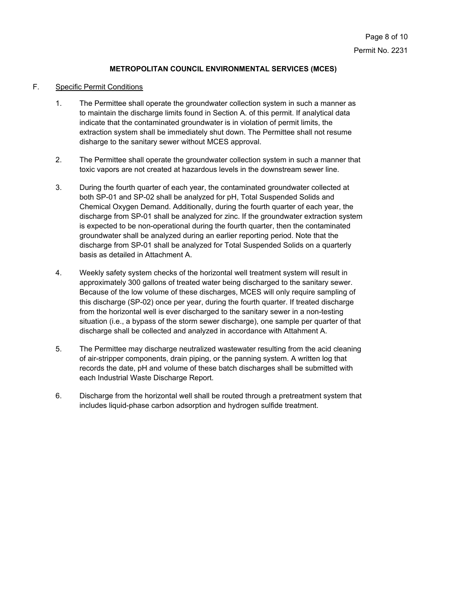#### F. Specific Permit Conditions

- The Permittee shall operate the groundwater collection system in such a manner as to maintain the discharge limits found in Section A. of this permit. If analytical data indicate that the contaminated groundwater is in violation of permit limits, the extraction system shall be immediately shut down. The Permittee shall not resume disharge to the sanitary sewer without MCES approval. 1.
- The Permittee shall operate the groundwater collection system in such a manner that toxic vapors are not created at hazardous levels in the downstream sewer line. 2.
- During the fourth quarter of each year, the contaminated groundwater collected at both SP-01 and SP-02 shall be analyzed for pH, Total Suspended Solids and Chemical Oxygen Demand. Additionally, during the fourth quarter of each year, the discharge from SP-01 shall be analyzed for zinc. If the groundwater extraction system is expected to be non-operational during the fourth quarter, then the contaminated groundwater shall be analyzed during an earlier reporting period. Note that the discharge from SP-01 shall be analyzed for Total Suspended Solids on a quarterly basis as detailed in Attachment A. 3.
- Weekly safety system checks of the horizontal well treatment system will result in approximately 300 gallons of treated water being discharged to the sanitary sewer. Because of the low volume of these discharges, MCES will only require sampling of this discharge (SP-02) once per year, during the fourth quarter. If treated discharge from the horizontal well is ever discharged to the sanitary sewer in a non-testing situation (i.e., a bypass of the storm sewer discharge), one sample per quarter of that discharge shall be collected and analyzed in accordance with Attahment A. 4.
- The Permittee may discharge neutralized wastewater resulting from the acid cleaning of air-stripper components, drain piping, or the panning system. A written log that records the date, pH and volume of these batch discharges shall be submitted with each Industrial Waste Discharge Report. 5.
- Discharge from the horizontal well shall be routed through a pretreatment system that includes liquid-phase carbon adsorption and hydrogen sulfide treatment. 6.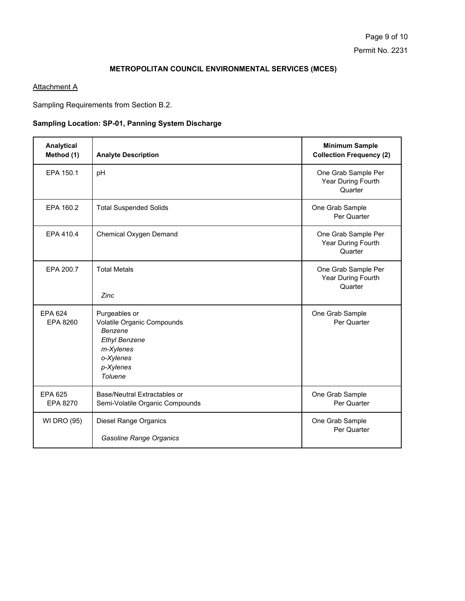## **Attachment A**

Sampling Requirements from Section B.2.

# **Sampling Location: SP-01, Panning System Discharge**

| Analytical<br>Method (1)   | <b>Analyte Description</b>                                                                                                       | <b>Minimum Sample</b><br><b>Collection Frequency (2)</b> |
|----------------------------|----------------------------------------------------------------------------------------------------------------------------------|----------------------------------------------------------|
| EPA 150.1                  | pH                                                                                                                               | One Grab Sample Per<br>Year During Fourth<br>Quarter     |
| EPA 160.2                  | <b>Total Suspended Solids</b>                                                                                                    | One Grab Sample<br>Per Quarter                           |
| EPA 410.4                  | Chemical Oxygen Demand                                                                                                           | One Grab Sample Per<br>Year During Fourth<br>Quarter     |
| EPA 200.7                  | <b>Total Metals</b><br>Zinc                                                                                                      | One Grab Sample Per<br>Year During Fourth<br>Quarter     |
| <b>EPA 624</b><br>EPA 8260 | Purgeables or<br>Volatile Organic Compounds<br>Benzene<br><b>Ethyl Benzene</b><br>m-Xylenes<br>o-Xylenes<br>p-Xylenes<br>Toluene | One Grab Sample<br>Per Quarter                           |
| <b>EPA 625</b><br>EPA 8270 | Base/Neutral Extractables or<br>Semi-Volatile Organic Compounds                                                                  | One Grab Sample<br>Per Quarter                           |
| <b>WI DRO (95)</b>         | Diesel Range Organics<br><b>Gasoline Range Organics</b>                                                                          | One Grab Sample<br>Per Quarter                           |